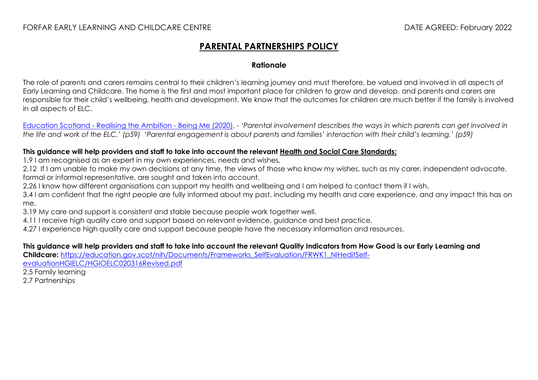## **PARENTAL PARTNERSHIPS POLICY**

## **Rationale**

The role of parents and carers remains central to their children's learning journey and must therefore, be valued and involved in all aspects of Early Learning and Childcare. The home is the first and most important place for children to grow and develop, and parents and carers are responsible for their child's wellbeing, health and development. We know that the outcomes for children are much better if the family is involved in all aspects of ELC.

Education Scotland - [Realising the Ambition -](https://education.gov.scot/improvement/learning-resources/realising-the-ambition/) Being Me (2020), - *'Parental involvement describes the ways in which parents can get involved in the life and work of the ELC.' (p59) 'Parental engagement is about parents and families' interaction with their child's learning.' (p59)*

## **This guidance will help providers and staff to take into account the relevant [Health and Social Care Standards:](https://www.gov.scot/binaries/content/documents/govscot/publications/advice-and-guidance/2017/06/health-social-care-standards-support-life/documents/00520693-pdf/00520693-pdf/govscot%3Adocument/00520693.pdf)**

1.9 I am recognised as an expert in my own experiences, needs and wishes.

2.12 If I am unable to make my own decisions at any time, the views of those who know my wishes, such as my carer, independent advocate, formal or informal representative, are sought and taken into account.

2.26 I know how different organisations can support my health and wellbeing and I am helped to contact them if I wish.

3.4 I am confident that the right people are fully informed about my past, including my health and care experience, and any impact this has on me.

3.19 My care and support is consistent and stable because people work together well.

4.11 I receive high quality care and support based on relevant evidence, guidance and best practice.

4.27 I experience high quality care and support because people have the necessary information and resources.

**This guidance will help providers and staff to take into account the relevant Quality Indicators from How Good is our Early Learning and Childcare:** [https://education.gov.scot/nih/Documents/Frameworks\\_SelfEvaluation/FRWK1\\_NIHeditSelf-](https://education.gov.scot/nih/Documents/Frameworks_SelfEvaluation/FRWK1_NIHeditSelf-evaluationHGIELC/HGIOELC020316Revised.pdf)

[evaluationHGIELC/HGIOELC020316Revised.pdf](https://education.gov.scot/nih/Documents/Frameworks_SelfEvaluation/FRWK1_NIHeditSelf-evaluationHGIELC/HGIOELC020316Revised.pdf)

2.5 Family learning

2.7 Partnerships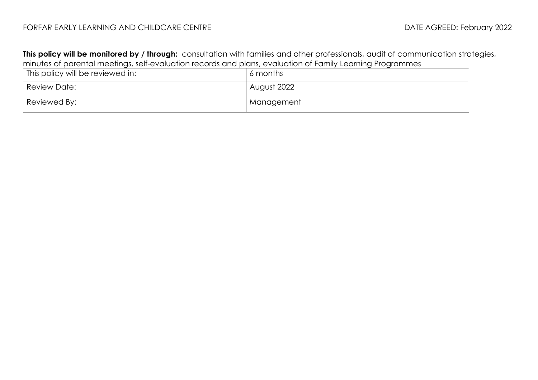## FORFAR EARLY LEARNING AND CHILDCARE CENTRE **Extractional CHILDS** DATE AGREED: February 2022

**This policy will be monitored by / through:** consultation with families and other professionals, audit of communication strategies, minutes of parental meetings, self-evaluation records and plans, evaluation of Family Learning Programmes

| This policy will be reviewed in: | 6 months    |
|----------------------------------|-------------|
| Review Date:                     | August 2022 |
| Reviewed By:                     | Management  |